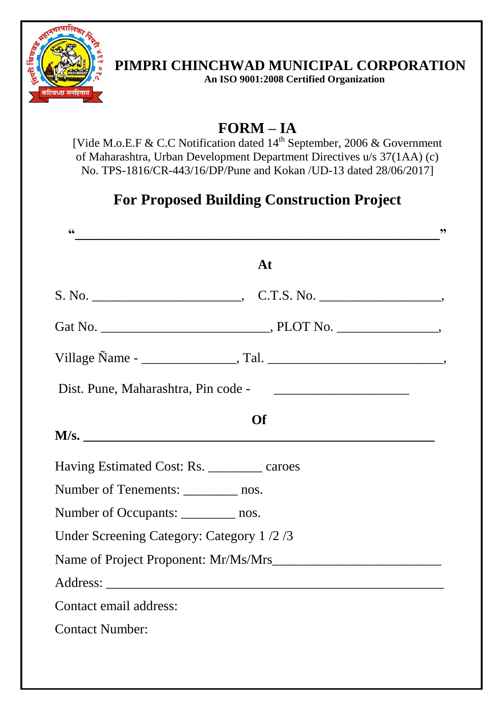

# **PIMPRI CHINCHWAD MUNICIPAL CORPORATION**

**An ISO 9001:2008 Certified Organization**

# **FORM – IA**

[Vide M.o.E.F & C.C Notification dated  $14<sup>th</sup>$  September, 2006 & Government of Maharashtra, Urban Development Department Directives u/s 37(1AA) (c) No. TPS-1816/CR-443/16/DP/Pune and Kokan /UD-13 dated 28/06/2017]

## **For Proposed Building Construction Project**

| 66                                            |
|-----------------------------------------------|
| At                                            |
|                                               |
|                                               |
|                                               |
|                                               |
| Of                                            |
| Having Estimated Cost: Rs. ___________ caroes |
| Number of Tenements: __________ nos.          |
| Number of Occupants: __________ nos.          |
| Under Screening Category: Category 1/2/3      |
| Name of Project Proponent: Mr/Ms/Mrs          |
|                                               |
| Contact email address:                        |
| <b>Contact Number:</b>                        |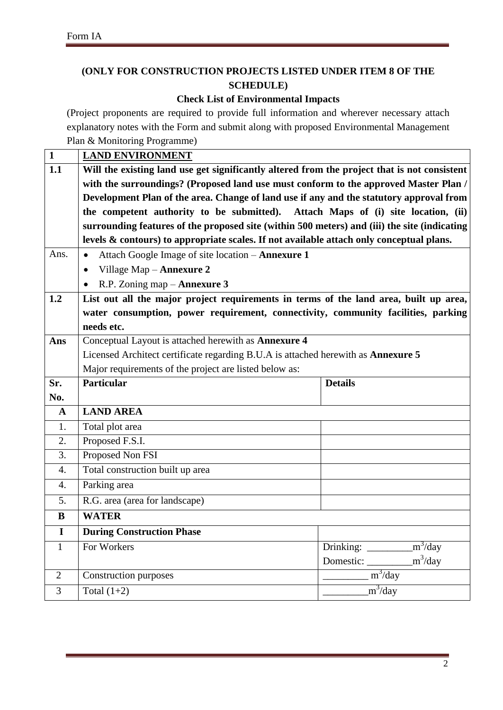## **(ONLY FOR CONSTRUCTION PROJECTS LISTED UNDER ITEM 8 OF THE SCHEDULE)**

#### **Check List of Environmental Impacts**

(Project proponents are required to provide full information and wherever necessary attach explanatory notes with the Form and submit along with proposed Environmental Management Plan & Monitoring Programme)

| $\mathbf{1}$   | <b>LAND ENVIRONMENT</b>                                                                      |                                      |  |  |
|----------------|----------------------------------------------------------------------------------------------|--------------------------------------|--|--|
| 1.1            | Will the existing land use get significantly altered from the project that is not consistent |                                      |  |  |
|                | with the surroundings? (Proposed land use must conform to the approved Master Plan /         |                                      |  |  |
|                | Development Plan of the area. Change of land use if any and the statutory approval from      |                                      |  |  |
|                | the competent authority to be submitted). Attach Maps of (i) site location, (ii)             |                                      |  |  |
|                | surrounding features of the proposed site (within 500 meters) and (iii) the site (indicating |                                      |  |  |
|                | levels & contours) to appropriate scales. If not available attach only conceptual plans.     |                                      |  |  |
| Ans.           | Attach Google Image of site location - Annexure 1<br>$\bullet$                               |                                      |  |  |
|                | Village Map - Annexure 2<br>$\bullet$                                                        |                                      |  |  |
|                | R.P. Zoning map - Annexure 3<br>$\bullet$                                                    |                                      |  |  |
| 1.2            | List out all the major project requirements in terms of the land area, built up area,        |                                      |  |  |
|                | water consumption, power requirement, connectivity, community facilities, parking            |                                      |  |  |
|                | needs etc.                                                                                   |                                      |  |  |
| Ans            | Conceptual Layout is attached herewith as <b>Annexure 4</b>                                  |                                      |  |  |
|                | Licensed Architect certificate regarding B.U.A is attached herewith as Annexure 5            |                                      |  |  |
|                | Major requirements of the project are listed below as:                                       |                                      |  |  |
| Sr.            | <b>Particular</b>                                                                            | <b>Details</b>                       |  |  |
| No.            |                                                                                              |                                      |  |  |
| $\mathbf A$    | <b>LAND AREA</b>                                                                             |                                      |  |  |
| 1.             | Total plot area                                                                              |                                      |  |  |
| 2.             | Proposed F.S.I.                                                                              |                                      |  |  |
| 3.             | Proposed Non FSI                                                                             |                                      |  |  |
| 4.             | Total construction built up area                                                             |                                      |  |  |
| 4.             | Parking area                                                                                 |                                      |  |  |
| 5.             | R.G. area (area for landscape)                                                               |                                      |  |  |
| B              | <b>WATER</b>                                                                                 |                                      |  |  |
| I              | <b>During Construction Phase</b>                                                             |                                      |  |  |
|                |                                                                                              |                                      |  |  |
| $\mathbf{1}$   | For Workers                                                                                  | $\text{m}^3/\text{day}$<br>Drinking: |  |  |
|                |                                                                                              | $m^3$ /day<br>Domestic:              |  |  |
| $\overline{2}$ | Construction purposes                                                                        | $m^3$ /day                           |  |  |
| 3              | Total $(1+2)$                                                                                | $\text{m}^3/\text{day}$              |  |  |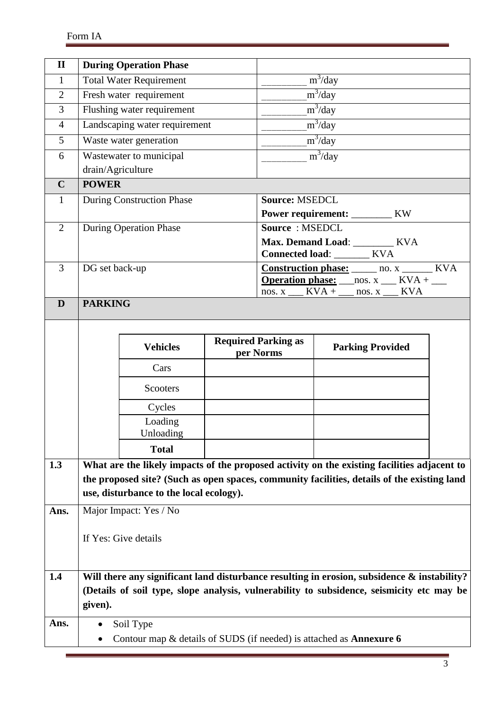| $\mathbf{I}$   |                         | <b>During Operation Phase</b>           |            |                                         |                                                                                             |  |
|----------------|-------------------------|-----------------------------------------|------------|-----------------------------------------|---------------------------------------------------------------------------------------------|--|
| 1              |                         | <b>Total Water Requirement</b>          |            |                                         | $m^3$ /day                                                                                  |  |
| $\overline{2}$ | Fresh water requirement |                                         | $m^3$ /day |                                         |                                                                                             |  |
| $\overline{3}$ |                         | Flushing water requirement              |            |                                         | $m^3$ /day                                                                                  |  |
| $\overline{4}$ |                         | Landscaping water requirement           |            |                                         | $m^3$ /day                                                                                  |  |
| 5              |                         | Waste water generation                  |            |                                         | $m^3$ /day                                                                                  |  |
| 6              |                         | Wastewater to municipal                 |            |                                         | $m^3$ /day                                                                                  |  |
|                | drain/Agriculture       |                                         |            |                                         |                                                                                             |  |
| $\mathbf C$    | <b>POWER</b>            |                                         |            |                                         |                                                                                             |  |
| $\mathbf{1}$   |                         | <b>During Construction Phase</b>        |            | <b>Source: MSEDCL</b>                   |                                                                                             |  |
|                |                         |                                         |            |                                         | Power requirement: ________ KW                                                              |  |
| 2              |                         | <b>During Operation Phase</b>           |            | Source: MSEDCL                          |                                                                                             |  |
|                |                         |                                         |            |                                         | Max. Demand Load: ________ KVA<br>Connected load: _______ KVA                               |  |
| 3              | DG set back-up          |                                         |            |                                         | <b>Construction phase:</b> _____ no. x ______ KVA                                           |  |
|                |                         |                                         |            |                                         | $\overline{\text{Operation phase:}}$ ___ nos. x ___ KVA + ___                               |  |
| D              | <b>PARKING</b>          |                                         |            |                                         | nos. x ___ KVA + ___ nos. x ___ KVA                                                         |  |
|                |                         |                                         |            |                                         |                                                                                             |  |
|                |                         |                                         |            |                                         |                                                                                             |  |
|                |                         | <b>Vehicles</b>                         |            | <b>Required Parking as</b><br>per Norms | <b>Parking Provided</b>                                                                     |  |
|                |                         | Cars                                    |            |                                         |                                                                                             |  |
|                |                         | Scooters                                |            |                                         |                                                                                             |  |
|                |                         | Cycles                                  |            |                                         |                                                                                             |  |
|                |                         | Loading                                 |            |                                         |                                                                                             |  |
|                |                         | Unloading                               |            |                                         |                                                                                             |  |
|                |                         | <b>Total</b>                            |            |                                         |                                                                                             |  |
| 1.3            |                         |                                         |            |                                         | What are the likely impacts of the proposed activity on the existing facilities adjacent to |  |
|                |                         |                                         |            |                                         | the proposed site? (Such as open spaces, community facilities, details of the existing land |  |
|                |                         | use, disturbance to the local ecology). |            |                                         |                                                                                             |  |
| Ans.           |                         | Major Impact: Yes / No                  |            |                                         |                                                                                             |  |
|                |                         | If Yes: Give details                    |            |                                         |                                                                                             |  |
|                |                         |                                         |            |                                         |                                                                                             |  |
|                |                         |                                         |            |                                         |                                                                                             |  |
| 1.4            |                         |                                         |            |                                         | Will there any significant land disturbance resulting in erosion, subsidence & instability? |  |
|                |                         |                                         |            |                                         | (Details of soil type, slope analysis, vulnerability to subsidence, seismicity etc may be   |  |
|                | given).                 |                                         |            |                                         |                                                                                             |  |
| Ans.           |                         | Soil Type                               |            |                                         |                                                                                             |  |
|                |                         |                                         |            |                                         | Contour map & details of SUDS (if needed) is attached as <b>Annexure 6</b>                  |  |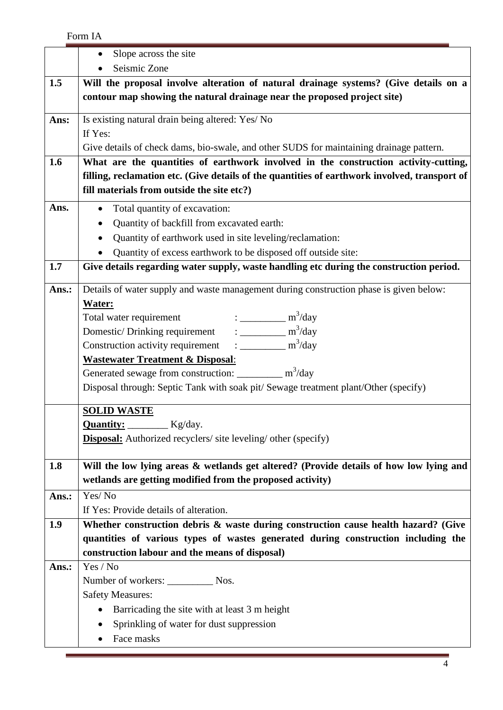|       | Slope across the site                                                                         |  |  |  |  |
|-------|-----------------------------------------------------------------------------------------------|--|--|--|--|
|       | Seismic Zone                                                                                  |  |  |  |  |
| 1.5   | Will the proposal involve alteration of natural drainage systems? (Give details on a          |  |  |  |  |
|       | contour map showing the natural drainage near the proposed project site)                      |  |  |  |  |
| Ans:  | Is existing natural drain being altered: Yes/ No                                              |  |  |  |  |
|       | If Yes:                                                                                       |  |  |  |  |
|       | Give details of check dams, bio-swale, and other SUDS for maintaining drainage pattern.       |  |  |  |  |
| 1.6   | What are the quantities of earthwork involved in the construction activity-cutting,           |  |  |  |  |
|       | filling, reclamation etc. (Give details of the quantities of earthwork involved, transport of |  |  |  |  |
|       | fill materials from outside the site etc?)                                                    |  |  |  |  |
| Ans.  | Total quantity of excavation:                                                                 |  |  |  |  |
|       | Quantity of backfill from excavated earth:<br>$\bullet$                                       |  |  |  |  |
|       | Quantity of earthwork used in site leveling/reclamation:<br>$\bullet$                         |  |  |  |  |
|       | Quantity of excess earthwork to be disposed off outside site:                                 |  |  |  |  |
| 1.7   | Give details regarding water supply, waste handling etc during the construction period.       |  |  |  |  |
| Ans.: | Details of water supply and waste management during construction phase is given below:        |  |  |  |  |
|       | Water:                                                                                        |  |  |  |  |
|       | $\frac{1}{2}$ = $\frac{m^3}{day}$<br>Total water requirement                                  |  |  |  |  |
|       | Domestic/Drinking requirement $\qquad \qquad : \qquad \qquad m^3/day$                         |  |  |  |  |
|       |                                                                                               |  |  |  |  |
|       | <b>Wastewater Treatment &amp; Disposal:</b>                                                   |  |  |  |  |
|       | Generated sewage from construction: ___________ m <sup>3</sup> /day                           |  |  |  |  |
|       | Disposal through: Septic Tank with soak pit/ Sewage treatment plant/Other (specify)           |  |  |  |  |
|       | <b>SOLID WASTE</b>                                                                            |  |  |  |  |
|       | <b>Quantity:</b> Kg/day.                                                                      |  |  |  |  |
|       | <b>Disposal:</b> Authorized recyclers/ site leveling/ other (specify)                         |  |  |  |  |
| 1.8   | Will the low lying areas & wetlands get altered? (Provide details of how low lying and        |  |  |  |  |
|       | wetlands are getting modified from the proposed activity)                                     |  |  |  |  |
| Ans.: | Yes/No                                                                                        |  |  |  |  |
|       | If Yes: Provide details of alteration.                                                        |  |  |  |  |
| 1.9   | Whether construction debris & waste during construction cause health hazard? (Give            |  |  |  |  |
|       | quantities of various types of wastes generated during construction including the             |  |  |  |  |
|       | construction labour and the means of disposal)                                                |  |  |  |  |
| Ans.: | Yes / No                                                                                      |  |  |  |  |
|       |                                                                                               |  |  |  |  |
|       | <b>Safety Measures:</b>                                                                       |  |  |  |  |
|       | Barricading the site with at least 3 m height                                                 |  |  |  |  |
|       | Sprinkling of water for dust suppression                                                      |  |  |  |  |
|       | Face masks                                                                                    |  |  |  |  |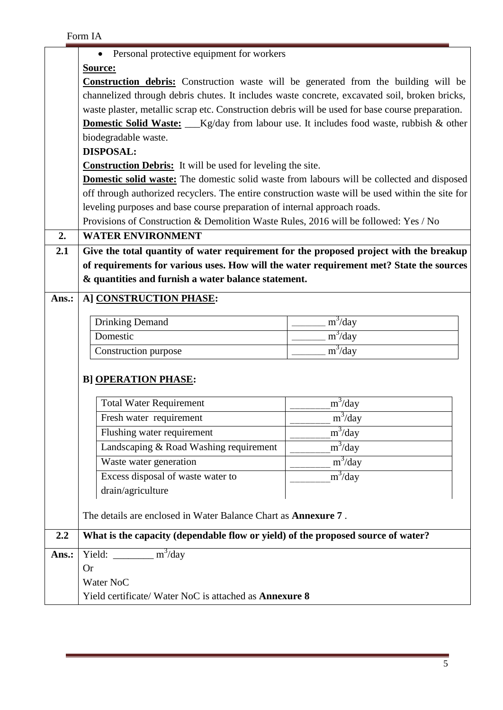|       | • Personal protective equipment for workers                                                       |                       |  |  |  |  |
|-------|---------------------------------------------------------------------------------------------------|-----------------------|--|--|--|--|
|       | Source:                                                                                           |                       |  |  |  |  |
|       | <b>Construction debris:</b> Construction waste will be generated from the building will be        |                       |  |  |  |  |
|       | channelized through debris chutes. It includes waste concrete, excavated soil, broken bricks,     |                       |  |  |  |  |
|       | waste plaster, metallic scrap etc. Construction debris will be used for base course preparation.  |                       |  |  |  |  |
|       | <b>Domestic Solid Waste:</b> Kg/day from labour use. It includes food waste, rubbish & other      |                       |  |  |  |  |
|       | biodegradable waste.                                                                              |                       |  |  |  |  |
|       | <b>DISPOSAL:</b>                                                                                  |                       |  |  |  |  |
|       | <b>Construction Debris:</b> It will be used for leveling the site.                                |                       |  |  |  |  |
|       | <b>Domestic solid waste:</b> The domestic solid waste from labours will be collected and disposed |                       |  |  |  |  |
|       | off through authorized recyclers. The entire construction waste will be used within the site for  |                       |  |  |  |  |
|       | leveling purposes and base course preparation of internal approach roads.                         |                       |  |  |  |  |
|       | Provisions of Construction & Demolition Waste Rules, 2016 will be followed: Yes / No              |                       |  |  |  |  |
| 2.    | <b>WATER ENVIRONMENT</b>                                                                          |                       |  |  |  |  |
| 2.1   | Give the total quantity of water requirement for the proposed project with the breakup            |                       |  |  |  |  |
|       | of requirements for various uses. How will the water requirement met? State the sources           |                       |  |  |  |  |
|       | & quantities and furnish a water balance statement.                                               |                       |  |  |  |  |
| Ans.: | A] CONSTRUCTION PHASE:                                                                            |                       |  |  |  |  |
|       | <b>Drinking Demand</b>                                                                            | $\frac{1}{m^3}$ /day  |  |  |  |  |
|       | Domestic                                                                                          | $m^3$ /day            |  |  |  |  |
|       | Construction purpose                                                                              | $m^3$ /day            |  |  |  |  |
|       |                                                                                                   |                       |  |  |  |  |
|       | <b>B] OPERATION PHASE:</b>                                                                        |                       |  |  |  |  |
|       |                                                                                                   |                       |  |  |  |  |
|       | <b>Total Water Requirement</b>                                                                    | $\overline{m^3}$ /day |  |  |  |  |
|       | Fresh water requirement                                                                           | $m^3$ /day            |  |  |  |  |
|       | Flushing water requirement                                                                        | $m^3$ /day            |  |  |  |  |
|       | Landscaping & Road Washing requirement                                                            | $m^3$ /day            |  |  |  |  |
|       | Waste water generation                                                                            | $m^3$ /day            |  |  |  |  |
|       | Excess disposal of waste water to                                                                 | $m^3$ /day            |  |  |  |  |
|       | drain/agriculture                                                                                 |                       |  |  |  |  |
|       |                                                                                                   |                       |  |  |  |  |
|       | The details are enclosed in Water Balance Chart as <b>Annexure 7</b> .                            |                       |  |  |  |  |
| 2.2   | What is the capacity (dependable flow or yield) of the proposed source of water?                  |                       |  |  |  |  |
| Ans.: | Yield: $\frac{m^3}{day}$                                                                          |                       |  |  |  |  |
|       | <b>Or</b>                                                                                         |                       |  |  |  |  |
|       | Water NoC                                                                                         |                       |  |  |  |  |
|       | Yield certificate/ Water NoC is attached as <b>Annexure 8</b>                                     |                       |  |  |  |  |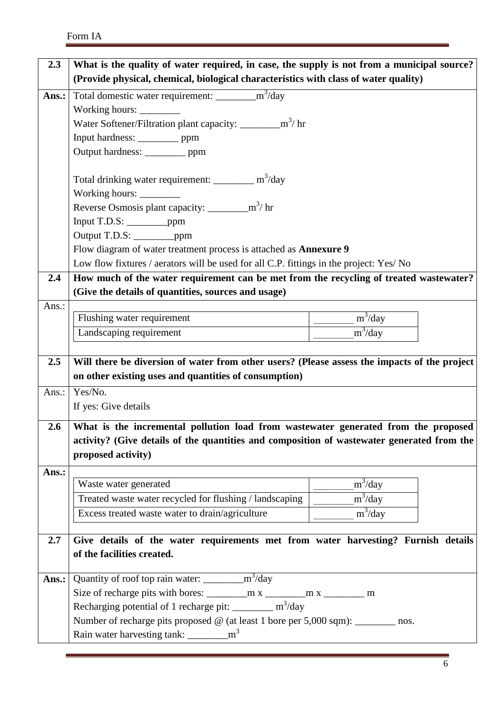| 2.3   | What is the quality of water required, in case, the supply is not from a municipal source?<br>(Provide physical, chemical, biological characteristics with class of water quality) |
|-------|------------------------------------------------------------------------------------------------------------------------------------------------------------------------------------|
| Ans.: | Total domestic water requirement: _____________m <sup>3</sup> /day                                                                                                                 |
|       | Working hours:                                                                                                                                                                     |
|       | Water Softener/Filtration plant capacity: ___________m <sup>3</sup> / hr                                                                                                           |
|       | Input hardness: __________ ppm                                                                                                                                                     |
|       | Output hardness: _________ ppm                                                                                                                                                     |
|       | Total drinking water requirement: _________ m <sup>3</sup> /day<br>Working hours:                                                                                                  |
|       | Reverse Osmosis plant capacity: $\frac{m^3}{hr}$                                                                                                                                   |
|       |                                                                                                                                                                                    |
|       | Output T.D.S: __________ppm                                                                                                                                                        |
|       | Flow diagram of water treatment process is attached as Annexure 9                                                                                                                  |
|       | Low flow fixtures / aerators will be used for all C.P. fittings in the project: Yes/ No                                                                                            |
| 2.4   | How much of the water requirement can be met from the recycling of treated wastewater?                                                                                             |
|       | (Give the details of quantities, sources and usage)                                                                                                                                |
| Ans.: |                                                                                                                                                                                    |
|       | $m^3$ /day<br>Flushing water requirement                                                                                                                                           |
|       | $m^3$ /day<br>Landscaping requirement                                                                                                                                              |
|       |                                                                                                                                                                                    |
|       |                                                                                                                                                                                    |
| 2.5   | Will there be diversion of water from other users? (Please assess the impacts of the project                                                                                       |
|       | on other existing uses and quantities of consumption)                                                                                                                              |
| Ans.: | Yes/No.                                                                                                                                                                            |
|       | If yes: Give details                                                                                                                                                               |
| 2.6   | What is the incremental pollution load from wastewater generated from the proposed                                                                                                 |
|       | activity? (Give details of the quantities and composition of wastewater generated from the                                                                                         |
|       | proposed activity)                                                                                                                                                                 |
| Ans.: |                                                                                                                                                                                    |
|       | $m^3$ /day<br>Waste water generated                                                                                                                                                |
|       | $m^3$ /day<br>Treated waste water recycled for flushing / landscaping                                                                                                              |
|       | $m^3$ /day<br>Excess treated waste water to drain/agriculture                                                                                                                      |
|       |                                                                                                                                                                                    |
| 2.7   | Give details of the water requirements met from water harvesting? Furnish details                                                                                                  |
|       | of the facilities created.                                                                                                                                                         |
| Ans.: | Quantity of roof top rain water: $\frac{m^3}{day}$                                                                                                                                 |
|       |                                                                                                                                                                                    |
|       | Recharging potential of 1 recharge pit: ________ m <sup>3</sup> /day                                                                                                               |
|       | nos.                                                                                                                                                                               |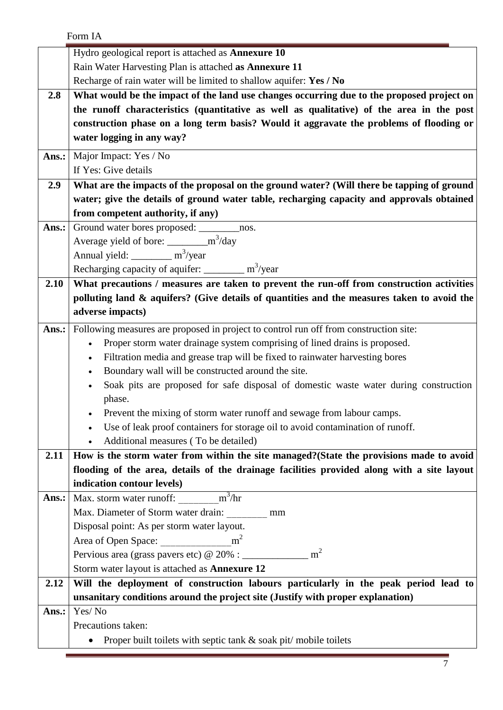|       | Form IA                                                                                           |
|-------|---------------------------------------------------------------------------------------------------|
|       | Hydro geological report is attached as <b>Annexure 10</b>                                         |
|       | Rain Water Harvesting Plan is attached as Annexure 11                                             |
|       | Recharge of rain water will be limited to shallow aquifer: Yes / No                               |
| 2.8   | What would be the impact of the land use changes occurring due to the proposed project on         |
|       | the runoff characteristics (quantitative as well as qualitative) of the area in the post          |
|       | construction phase on a long term basis? Would it aggravate the problems of flooding or           |
|       | water logging in any way?                                                                         |
| Ans.: | Major Impact: Yes / No                                                                            |
|       | If Yes: Give details                                                                              |
| 2.9   | What are the impacts of the proposal on the ground water? (Will there be tapping of ground        |
|       | water; give the details of ground water table, recharging capacity and approvals obtained         |
|       | from competent authority, if any)                                                                 |
| Ans.: | Ground water bores proposed: ___________nos.                                                      |
|       | Average yield of bore: ___________m <sup>3</sup> /day                                             |
|       | Annual yield: $\frac{m^3}{year}$                                                                  |
|       | Recharging capacity of aquifer: $\frac{m^3}{year}$                                                |
| 2.10  | What precautions / measures are taken to prevent the run-off from construction activities         |
|       | polluting land & aquifers? (Give details of quantities and the measures taken to avoid the        |
|       | adverse impacts)                                                                                  |
| Ans.: | Following measures are proposed in project to control run off from construction site:             |
|       | Proper storm water drainage system comprising of lined drains is proposed.                        |
|       | Filtration media and grease trap will be fixed to rainwater harvesting bores<br>$\bullet$         |
|       | Boundary wall will be constructed around the site.<br>$\bullet$                                   |
|       | Soak pits are proposed for safe disposal of domestic waste water during construction<br>$\bullet$ |
|       | phase.                                                                                            |
|       | Prevent the mixing of storm water runoff and sewage from labour camps.                            |
|       | Use of leak proof containers for storage oil to avoid contamination of runoff.                    |
|       | Additional measures (To be detailed)<br>$\bullet$                                                 |
| 2.11  | How is the storm water from within the site managed? (State the provisions made to avoid          |
|       | flooding of the area, details of the drainage facilities provided along with a site layout        |
|       | indication contour levels)                                                                        |
| Ans.: | Max. storm water runoff: $\frac{m^3}{hr}$                                                         |
|       | Max. Diameter of Storm water drain: mm                                                            |
|       | Disposal point: As per storm water layout.                                                        |
|       | m <sup>2</sup>                                                                                    |
|       | m <sup>2</sup>                                                                                    |
|       | Storm water layout is attached as Annexure 12                                                     |
| 2.12  | Will the deployment of construction labours particularly in the peak period lead to               |
|       | unsanitary conditions around the project site (Justify with proper explanation)                   |
| Ans.: | Yes/No                                                                                            |
|       | Precautions taken:                                                                                |
|       | Proper built toilets with septic tank & soak pit/mobile toilets                                   |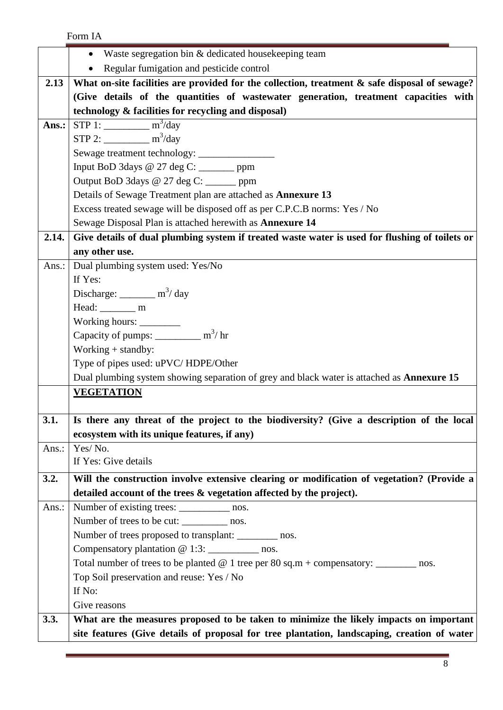|       | Form IA                                                                                        |
|-------|------------------------------------------------------------------------------------------------|
|       | • Waste segregation bin & dedicated housekeeping team                                          |
|       | Regular fumigation and pesticide control                                                       |
| 2.13  | What on-site facilities are provided for the collection, treatment & safe disposal of sewage?  |
|       | (Give details of the quantities of wastewater generation, treatment capacities with            |
|       | technology & facilities for recycling and disposal)                                            |
| Ans.: | STP 1: $\frac{m^3}{day}$                                                                       |
|       | STP 2: $\frac{m^3}{day}$                                                                       |
|       |                                                                                                |
|       | Input BoD 3days @ 27 deg C: _________ ppm                                                      |
|       | Output BoD 3days @ 27 deg C: _______ ppm                                                       |
|       | Details of Sewage Treatment plan are attached as Annexure 13                                   |
|       | Excess treated sewage will be disposed off as per C.P.C.B norms: Yes / No                      |
|       | Sewage Disposal Plan is attached herewith as Annexure 14                                       |
| 2.14. | Give details of dual plumbing system if treated waste water is used for flushing of toilets or |
|       | any other use.                                                                                 |
| Ans.: | Dual plumbing system used: Yes/No                                                              |
|       | If Yes:                                                                                        |
|       | Discharge: $m^3/day$                                                                           |
|       | Head: _________ m                                                                              |
|       |                                                                                                |
|       | Capacity of pumps: $\frac{m^3}{hr}$                                                            |
|       | Working $+$ standby:                                                                           |
|       | Type of pipes used: uPVC/HDPE/Other                                                            |
|       | Dual plumbing system showing separation of grey and black water is attached as Annexure 15     |
|       | <b>VEGETATION</b>                                                                              |
| 3.1.  | Is there any threat of the project to the biodiversity? (Give a description of the local       |
|       | ecosystem with its unique features, if any)                                                    |
| Ans.: | Yes/No.                                                                                        |
|       | If Yes: Give details                                                                           |
| 3.2.  | Will the construction involve extensive clearing or modification of vegetation? (Provide a     |
|       | detailed account of the trees & vegetation affected by the project).                           |
| Ans.: | Number of existing trees: ______________ nos.                                                  |
|       | Number of trees to be cut: ____________ nos.                                                   |
|       | Number of trees proposed to transplant: __________ nos.                                        |
|       |                                                                                                |
|       | Total number of trees to be planted $\omega$ 1 tree per 80 sq.m + compensatory: ________ nos.  |
|       | Top Soil preservation and reuse: Yes / No                                                      |
|       | If No:                                                                                         |
|       | Give reasons                                                                                   |
| 3.3.  | What are the measures proposed to be taken to minimize the likely impacts on important         |
|       | site features (Give details of proposal for tree plantation, landscaping, creation of water    |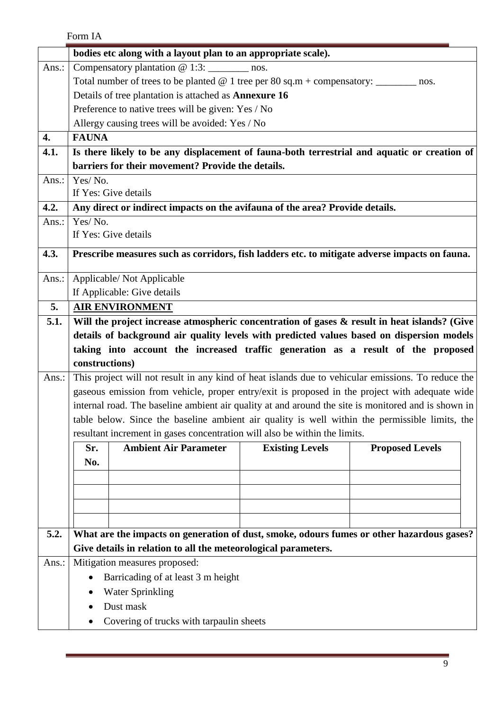|       | Form IA                                                                                                                                                                       |                                                                                               |                        |                                                                                                     |  |  |  |
|-------|-------------------------------------------------------------------------------------------------------------------------------------------------------------------------------|-----------------------------------------------------------------------------------------------|------------------------|-----------------------------------------------------------------------------------------------------|--|--|--|
|       |                                                                                                                                                                               | bodies etc along with a layout plan to an appropriate scale).                                 |                        |                                                                                                     |  |  |  |
| Ans.: | Compensatory plantation $@ 1:3:$ _______________ nos.                                                                                                                         |                                                                                               |                        |                                                                                                     |  |  |  |
|       | Total number of trees to be planted $@1$ tree per 80 sq.m + compensatory: ________ nos.                                                                                       |                                                                                               |                        |                                                                                                     |  |  |  |
|       | Details of tree plantation is attached as <b>Annexure 16</b>                                                                                                                  |                                                                                               |                        |                                                                                                     |  |  |  |
|       | Preference to native trees will be given: Yes / No                                                                                                                            |                                                                                               |                        |                                                                                                     |  |  |  |
|       | Allergy causing trees will be avoided: Yes / No                                                                                                                               |                                                                                               |                        |                                                                                                     |  |  |  |
| 4.    | <b>FAUNA</b>                                                                                                                                                                  |                                                                                               |                        |                                                                                                     |  |  |  |
| 4.1.  |                                                                                                                                                                               |                                                                                               |                        | Is there likely to be any displacement of fauna-both terrestrial and aquatic or creation of         |  |  |  |
|       |                                                                                                                                                                               | barriers for their movement? Provide the details.                                             |                        |                                                                                                     |  |  |  |
| Ans.: | Yes/No.                                                                                                                                                                       |                                                                                               |                        |                                                                                                     |  |  |  |
|       |                                                                                                                                                                               | If Yes: Give details                                                                          |                        |                                                                                                     |  |  |  |
| 4.2.  |                                                                                                                                                                               | Any direct or indirect impacts on the avifauna of the area? Provide details.                  |                        |                                                                                                     |  |  |  |
| Ans.: | Yes/No.                                                                                                                                                                       |                                                                                               |                        |                                                                                                     |  |  |  |
|       |                                                                                                                                                                               | If Yes: Give details                                                                          |                        |                                                                                                     |  |  |  |
| 4.3.  |                                                                                                                                                                               | Prescribe measures such as corridors, fish ladders etc. to mitigate adverse impacts on fauna. |                        |                                                                                                     |  |  |  |
| Ans.: |                                                                                                                                                                               | Applicable/Not Applicable                                                                     |                        |                                                                                                     |  |  |  |
|       |                                                                                                                                                                               | If Applicable: Give details                                                                   |                        |                                                                                                     |  |  |  |
| 5.    |                                                                                                                                                                               | <b>AIR ENVIRONMENT</b>                                                                        |                        |                                                                                                     |  |  |  |
| 5.1.  |                                                                                                                                                                               |                                                                                               |                        | Will the project increase atmospheric concentration of gases $\&$ result in heat islands? (Give     |  |  |  |
|       |                                                                                                                                                                               |                                                                                               |                        |                                                                                                     |  |  |  |
|       | details of background air quality levels with predicted values based on dispersion models<br>taking into account the increased traffic generation as a result of the proposed |                                                                                               |                        |                                                                                                     |  |  |  |
|       | constructions)                                                                                                                                                                |                                                                                               |                        |                                                                                                     |  |  |  |
| Ans.: |                                                                                                                                                                               |                                                                                               |                        | This project will not result in any kind of heat islands due to vehicular emissions. To reduce the  |  |  |  |
|       |                                                                                                                                                                               |                                                                                               |                        | gaseous emission from vehicle, proper entry/exit is proposed in the project with adequate wide      |  |  |  |
|       |                                                                                                                                                                               |                                                                                               |                        | internal road. The baseline ambient air quality at and around the site is monitored and is shown in |  |  |  |
|       |                                                                                                                                                                               |                                                                                               |                        | table below. Since the baseline ambient air quality is well within the permissible limits, the      |  |  |  |
|       |                                                                                                                                                                               | resultant increment in gases concentration will also be within the limits.                    |                        |                                                                                                     |  |  |  |
|       | Sr.                                                                                                                                                                           | <b>Ambient Air Parameter</b>                                                                  | <b>Existing Levels</b> | <b>Proposed Levels</b>                                                                              |  |  |  |
|       | No.                                                                                                                                                                           |                                                                                               |                        |                                                                                                     |  |  |  |
|       |                                                                                                                                                                               |                                                                                               |                        |                                                                                                     |  |  |  |
|       |                                                                                                                                                                               |                                                                                               |                        |                                                                                                     |  |  |  |
|       |                                                                                                                                                                               |                                                                                               |                        |                                                                                                     |  |  |  |
|       |                                                                                                                                                                               |                                                                                               |                        |                                                                                                     |  |  |  |
| 5.2.  |                                                                                                                                                                               |                                                                                               |                        | What are the impacts on generation of dust, smoke, odours fumes or other hazardous gases?           |  |  |  |
|       |                                                                                                                                                                               | Give details in relation to all the meteorological parameters.                                |                        |                                                                                                     |  |  |  |
| Ans.: |                                                                                                                                                                               | Mitigation measures proposed:                                                                 |                        |                                                                                                     |  |  |  |
|       |                                                                                                                                                                               | Barricading of at least 3 m height                                                            |                        |                                                                                                     |  |  |  |
|       |                                                                                                                                                                               |                                                                                               |                        |                                                                                                     |  |  |  |
|       |                                                                                                                                                                               | <b>Water Sprinkling</b>                                                                       |                        |                                                                                                     |  |  |  |
|       | Dust mask                                                                                                                                                                     |                                                                                               |                        |                                                                                                     |  |  |  |
|       |                                                                                                                                                                               | Covering of trucks with tarpaulin sheets                                                      |                        |                                                                                                     |  |  |  |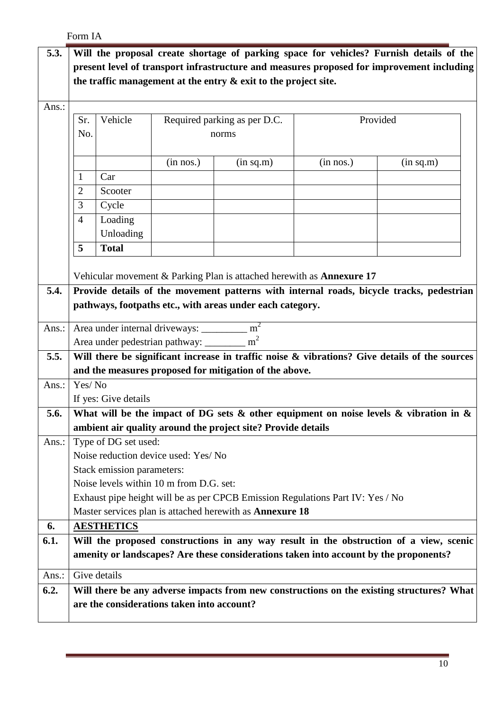Form IA **5.3. Will the proposal create shortage of parking space for vehicles? Furnish details of the present level of transport infrastructure and measures proposed for improvement including the traffic management at the entry & exit to the project site.** Ans.: Vehicular movement & Parking Plan is attached herewith as **Annexure 17** Sr. No. Vehicle Required parking as per D.C. norms Provided  $(in nos.)$   $(in sq.m)$   $(in nos.)$   $(in sq.m)$  $1 \quad \text{Car}$ 2 Scooter 3 Cycle 4 Loading Unloading **5 Total 5.4. Provide details of the movement patterns with internal roads, bicycle tracks, pedestrian pathways, footpaths etc., with areas under each category.** Ans.: Area under internal driveways:  $m<sup>2</sup>$ Area under pedestrian pathway: \_\_\_\_\_\_  $m<sup>2</sup>$ **5.5. Will there be significant increase in traffic noise & vibrations? Give details of the sources and the measures proposed for mitigation of the above.**  Ans.: Yes/ No If yes: Give details **5.6. What will be the impact of DG sets & other equipment on noise levels & vibration in & ambient air quality around the project site? Provide details** Ans.: Type of DG set used: Noise reduction device used: Yes/ No Stack emission parameters: Noise levels within 10 m from D.G. set: Exhaust pipe height will be as per CPCB Emission Regulations Part IV: Yes / No Master services plan is attached herewith as **Annexure 18 6. AESTHETICS 6.1. Will the proposed constructions in any way result in the obstruction of a view, scenic amenity or landscapes? Are these considerations taken into account by the proponents?**  Ans.: Give details **6.2. Will there be any adverse impacts from new constructions on the existing structures? What are the considerations taken into account?**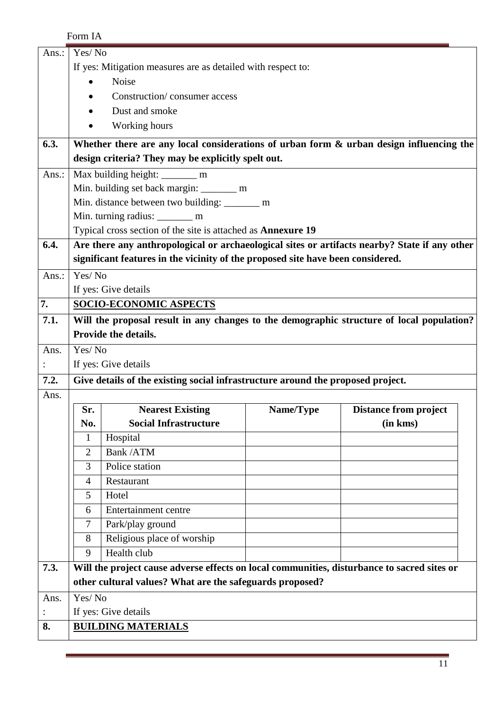| Ans.: | Yes/No                                                       |                                                                                               |           |                              |  |  |  |
|-------|--------------------------------------------------------------|-----------------------------------------------------------------------------------------------|-----------|------------------------------|--|--|--|
|       | If yes: Mitigation measures are as detailed with respect to: |                                                                                               |           |                              |  |  |  |
|       | Noise                                                        |                                                                                               |           |                              |  |  |  |
|       | Construction/consumer access                                 |                                                                                               |           |                              |  |  |  |
|       |                                                              | Dust and smoke                                                                                |           |                              |  |  |  |
|       |                                                              | Working hours                                                                                 |           |                              |  |  |  |
| 6.3.  |                                                              | Whether there are any local considerations of urban form $\&$ urban design influencing the    |           |                              |  |  |  |
|       |                                                              | design criteria? They may be explicitly spelt out.                                            |           |                              |  |  |  |
| Ans.: |                                                              | Max building height: __________ m                                                             |           |                              |  |  |  |
|       |                                                              | Min. building set back margin: _________ m                                                    |           |                              |  |  |  |
|       |                                                              | Min. distance between two building: ________ m                                                |           |                              |  |  |  |
|       |                                                              | Min. turning radius: _________ m                                                              |           |                              |  |  |  |
|       |                                                              | Typical cross section of the site is attached as Annexure 19                                  |           |                              |  |  |  |
| 6.4.  |                                                              | Are there any anthropological or archaeological sites or artifacts nearby? State if any other |           |                              |  |  |  |
|       |                                                              | significant features in the vicinity of the proposed site have been considered.               |           |                              |  |  |  |
| Ans.: | Yes/No                                                       |                                                                                               |           |                              |  |  |  |
|       |                                                              | If yes: Give details                                                                          |           |                              |  |  |  |
| 7.    |                                                              | <b>SOCIO-ECONOMIC ASPECTS</b>                                                                 |           |                              |  |  |  |
| 7.1.  |                                                              | Will the proposal result in any changes to the demographic structure of local population?     |           |                              |  |  |  |
|       |                                                              | Provide the details.                                                                          |           |                              |  |  |  |
| Ans.  | Yes/No                                                       |                                                                                               |           |                              |  |  |  |
|       |                                                              | If yes: Give details                                                                          |           |                              |  |  |  |
| 7.2.  |                                                              | Give details of the existing social infrastructure around the proposed project.               |           |                              |  |  |  |
| Ans.  |                                                              |                                                                                               |           |                              |  |  |  |
|       | Sr.                                                          | <b>Nearest Existing</b>                                                                       | Name/Type | <b>Distance from project</b> |  |  |  |
|       | No.                                                          | <b>Social Infrastructure</b>                                                                  |           | (in kms)                     |  |  |  |
|       | $\mathbf{1}$                                                 | Hospital                                                                                      |           |                              |  |  |  |
|       | $\overline{2}$                                               | Bank /ATM                                                                                     |           |                              |  |  |  |
|       | 3                                                            | Police station                                                                                |           |                              |  |  |  |
|       | $\overline{4}$                                               | Restaurant                                                                                    |           |                              |  |  |  |
|       | 5                                                            | Hotel                                                                                         |           |                              |  |  |  |
|       | 6                                                            | <b>Entertainment centre</b>                                                                   |           |                              |  |  |  |
|       | 7                                                            | Park/play ground                                                                              |           |                              |  |  |  |
|       | 8                                                            | Religious place of worship                                                                    |           |                              |  |  |  |
|       | 9                                                            | Health club                                                                                   |           |                              |  |  |  |
| 7.3.  |                                                              | Will the project cause adverse effects on local communities, disturbance to sacred sites or   |           |                              |  |  |  |
|       |                                                              | other cultural values? What are the safeguards proposed?                                      |           |                              |  |  |  |
| Ans.  | Yes/No                                                       |                                                                                               |           |                              |  |  |  |
|       |                                                              | If yes: Give details                                                                          |           |                              |  |  |  |
| 8.    |                                                              | <b>BUILDING MATERIALS</b>                                                                     |           |                              |  |  |  |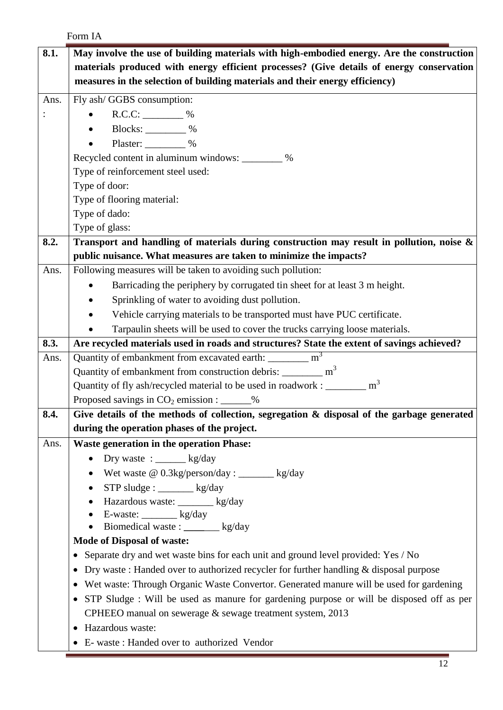|      | Form IA                                                                                       |  |  |  |  |  |
|------|-----------------------------------------------------------------------------------------------|--|--|--|--|--|
| 8.1. | May involve the use of building materials with high-embodied energy. Are the construction     |  |  |  |  |  |
|      | materials produced with energy efficient processes? (Give details of energy conservation      |  |  |  |  |  |
|      | measures in the selection of building materials and their energy efficiency)                  |  |  |  |  |  |
| Ans. | Fly ash/ GGBS consumption:                                                                    |  |  |  |  |  |
|      | $R.C.C:$ ___________ %                                                                        |  |  |  |  |  |
|      |                                                                                               |  |  |  |  |  |
|      | Plaster: _________ %                                                                          |  |  |  |  |  |
|      | Recycled content in aluminum windows: _________ %                                             |  |  |  |  |  |
|      | Type of reinforcement steel used:                                                             |  |  |  |  |  |
|      | Type of door:                                                                                 |  |  |  |  |  |
|      | Type of flooring material:                                                                    |  |  |  |  |  |
|      | Type of dado:                                                                                 |  |  |  |  |  |
|      | Type of glass:                                                                                |  |  |  |  |  |
| 8.2. | Transport and handling of materials during construction may result in pollution, noise &      |  |  |  |  |  |
|      | public nuisance. What measures are taken to minimize the impacts?                             |  |  |  |  |  |
| Ans. | Following measures will be taken to avoiding such pollution:                                  |  |  |  |  |  |
|      | Barricading the periphery by corrugated tin sheet for at least 3 m height.                    |  |  |  |  |  |
|      | Sprinkling of water to avoiding dust pollution.                                               |  |  |  |  |  |
|      | Vehicle carrying materials to be transported must have PUC certificate.                       |  |  |  |  |  |
|      | Tarpaulin sheets will be used to cover the trucks carrying loose materials.                   |  |  |  |  |  |
| 8.3. | Are recycled materials used in roads and structures? State the extent of savings achieved?    |  |  |  |  |  |
| Ans. | Quantity of embankment from excavated earth: ________ m <sup>3</sup>                          |  |  |  |  |  |
|      | Quantity of embankment from construction debris: __________ m <sup>3</sup>                    |  |  |  |  |  |
|      | Quantity of fly ash/recycled material to be used in roadwork : $\frac{1}{2}$ m <sup>3</sup>   |  |  |  |  |  |
|      | Proposed savings in $CO_2$ emission : ______%                                                 |  |  |  |  |  |
| 8.4. | Give details of the methods of collection, segregation $\&$ disposal of the garbage generated |  |  |  |  |  |
|      | during the operation phases of the project.                                                   |  |  |  |  |  |
| Ans. | <b>Waste generation in the operation Phase:</b>                                               |  |  |  |  |  |
|      | Dry waste : $\frac{\log{day}}{x}$                                                             |  |  |  |  |  |
|      | Wet waste @ 0.3kg/person/day : _________ kg/day                                               |  |  |  |  |  |
|      | STP sludge : ________ kg/day                                                                  |  |  |  |  |  |
|      | Hazardous waste: _______ kg/day                                                               |  |  |  |  |  |
|      | E-waste: $\frac{1}{\text{kg/day}}$                                                            |  |  |  |  |  |
|      | Biomedical waste : ______ kg/day<br>$\bullet$                                                 |  |  |  |  |  |
|      | <b>Mode of Disposal of waste:</b>                                                             |  |  |  |  |  |
|      | Separate dry and wet waste bins for each unit and ground level provided: Yes / No             |  |  |  |  |  |
|      | Dry waste: Handed over to authorized recycler for further handling & disposal purpose         |  |  |  |  |  |
|      | Wet waste: Through Organic Waste Convertor. Generated manure will be used for gardening<br>٠  |  |  |  |  |  |
|      | STP Sludge : Will be used as manure for gardening purpose or will be disposed off as per      |  |  |  |  |  |
|      | CPHEEO manual on sewerage & sewage treatment system, 2013                                     |  |  |  |  |  |
|      | Hazardous waste:                                                                              |  |  |  |  |  |
|      | E- waste: Handed over to authorized Vendor<br>$\bullet$                                       |  |  |  |  |  |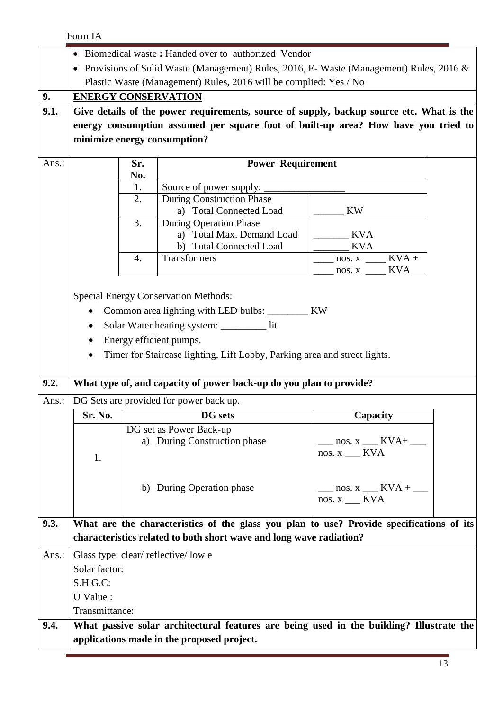|       | Form IA                                              |           |                                                                                          |                                                                                                   |  |
|-------|------------------------------------------------------|-----------|------------------------------------------------------------------------------------------|---------------------------------------------------------------------------------------------------|--|
|       | • Biomedical waste: Handed over to authorized Vendor |           |                                                                                          |                                                                                                   |  |
|       |                                                      |           | Provisions of Solid Waste (Management) Rules, 2016, E- Waste (Management) Rules, 2016 &  |                                                                                                   |  |
|       |                                                      |           | Plastic Waste (Management) Rules, 2016 will be complied: Yes / No                        |                                                                                                   |  |
| 9.    | <b>ENERGY CONSERVATION</b>                           |           |                                                                                          |                                                                                                   |  |
| 9.1.  |                                                      |           | Give details of the power requirements, source of supply, backup source etc. What is the |                                                                                                   |  |
|       |                                                      |           | energy consumption assumed per square foot of built-up area? How have you tried to       |                                                                                                   |  |
|       |                                                      |           | minimize energy consumption?                                                             |                                                                                                   |  |
|       |                                                      |           |                                                                                          |                                                                                                   |  |
| Ans.: |                                                      | Sr.       | <b>Power Requirement</b>                                                                 |                                                                                                   |  |
|       |                                                      | No.<br>1. |                                                                                          |                                                                                                   |  |
|       |                                                      | 2.        | Source of power supply:<br><b>During Construction Phase</b>                              |                                                                                                   |  |
|       |                                                      |           | a) Total Connected Load                                                                  | <b>KW</b>                                                                                         |  |
|       |                                                      | 3.        | <b>During Operation Phase</b>                                                            |                                                                                                   |  |
|       |                                                      |           | a) Total Max. Demand Load                                                                | <b>KVA</b>                                                                                        |  |
|       |                                                      |           | <b>Total Connected Load</b><br>b)                                                        | <b>KVA</b>                                                                                        |  |
|       |                                                      | 4.        | Transformers                                                                             | nos. $x$ ___ KVA +                                                                                |  |
|       |                                                      |           |                                                                                          | <b>KVA</b><br>nos. x                                                                              |  |
|       |                                                      |           | <b>Special Energy Conservation Methods:</b>                                              |                                                                                                   |  |
|       |                                                      |           | Common area lighting with LED bulbs: ___________ KW                                      |                                                                                                   |  |
|       |                                                      |           | Solar Water heating system: ____________ lit                                             |                                                                                                   |  |
|       | ٠                                                    |           | Energy efficient pumps.                                                                  |                                                                                                   |  |
|       |                                                      |           |                                                                                          |                                                                                                   |  |
|       |                                                      |           | Timer for Staircase lighting, Lift Lobby, Parking area and street lights.                |                                                                                                   |  |
| 9.2.  |                                                      |           | What type of, and capacity of power back-up do you plan to provide?                      |                                                                                                   |  |
|       |                                                      |           |                                                                                          |                                                                                                   |  |
| Ans.: |                                                      |           | DG Sets are provided for power back up.                                                  |                                                                                                   |  |
|       | Sr. No.                                              |           | <b>DG</b> sets                                                                           | Capacity                                                                                          |  |
|       |                                                      |           | DG set as Power Back-up                                                                  |                                                                                                   |  |
|       |                                                      |           | a) During Construction phase                                                             | $\frac{1}{\sqrt{1-\frac{1}{2}}}$ nos. x $\frac{1}{\sqrt{1-\frac{1}{2}}}$ KVA+<br>nos. $x$ ___ KVA |  |
|       | 1.                                                   |           |                                                                                          |                                                                                                   |  |
|       |                                                      |           |                                                                                          |                                                                                                   |  |
|       |                                                      |           | b) During Operation phase                                                                | $\frac{1}{\sqrt{1 - x^2}}$ nos. x $\frac{1}{\sqrt{1 - x^2}}$ KVA +                                |  |
|       |                                                      |           |                                                                                          | nos. $x$ ___ KVA                                                                                  |  |
| 9.3.  |                                                      |           | What are the characteristics of the glass you plan to use? Provide specifications of its |                                                                                                   |  |
|       |                                                      |           | characteristics related to both short wave and long wave radiation?                      |                                                                                                   |  |
|       |                                                      |           |                                                                                          |                                                                                                   |  |
| Ans.: |                                                      |           | Glass type: clear/ reflective/low e                                                      |                                                                                                   |  |
|       | Solar factor:                                        |           |                                                                                          |                                                                                                   |  |
|       | S.H.G.C:                                             |           |                                                                                          |                                                                                                   |  |
|       | U Value:                                             |           |                                                                                          |                                                                                                   |  |
|       | Transmittance:                                       |           |                                                                                          |                                                                                                   |  |
| 9.4.  |                                                      |           | What passive solar architectural features are being used in the building? Illustrate the |                                                                                                   |  |
|       | applications made in the proposed project.           |           |                                                                                          |                                                                                                   |  |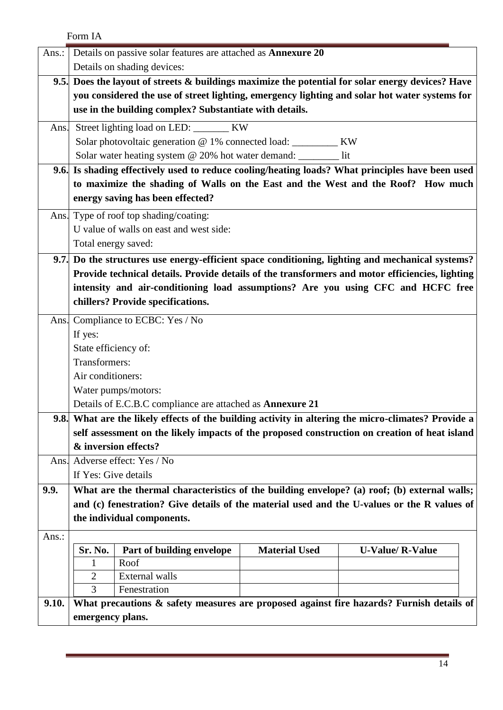|       | Form IA                                                                          |                                                                  |                      |                                                                                                     |  |  |
|-------|----------------------------------------------------------------------------------|------------------------------------------------------------------|----------------------|-----------------------------------------------------------------------------------------------------|--|--|
| Ans.: | Details on passive solar features are attached as Annexure 20                    |                                                                  |                      |                                                                                                     |  |  |
|       |                                                                                  | Details on shading devices:                                      |                      |                                                                                                     |  |  |
|       |                                                                                  |                                                                  |                      | 9.5. Does the layout of streets & buildings maximize the potential for solar energy devices? Have   |  |  |
|       |                                                                                  |                                                                  |                      | you considered the use of street lighting, emergency lighting and solar hot water systems for       |  |  |
|       |                                                                                  | use in the building complex? Substantiate with details.          |                      |                                                                                                     |  |  |
| Ans.  |                                                                                  | Street lighting load on LED: KW                                  |                      |                                                                                                     |  |  |
|       |                                                                                  | Solar photovoltaic generation @ 1% connected load: __________ KW |                      |                                                                                                     |  |  |
|       |                                                                                  | Solar water heating system @ 20% hot water demand:               |                      | lit                                                                                                 |  |  |
|       |                                                                                  |                                                                  |                      | 9.6. Is shading effectively used to reduce cooling/heating loads? What principles have been used    |  |  |
|       | to maximize the shading of Walls on the East and the West and the Roof? How much |                                                                  |                      |                                                                                                     |  |  |
|       | energy saving has been effected?                                                 |                                                                  |                      |                                                                                                     |  |  |
|       |                                                                                  | Ans. Type of roof top shading/coating:                           |                      |                                                                                                     |  |  |
|       |                                                                                  | U value of walls on east and west side:                          |                      |                                                                                                     |  |  |
|       | Total energy saved:                                                              |                                                                  |                      |                                                                                                     |  |  |
|       |                                                                                  |                                                                  |                      | 9.7. Do the structures use energy-efficient space conditioning, lighting and mechanical systems?    |  |  |
|       |                                                                                  |                                                                  |                      | Provide technical details. Provide details of the transformers and motor efficiencies, lighting     |  |  |
|       | intensity and air-conditioning load assumptions? Are you using CFC and HCFC free |                                                                  |                      |                                                                                                     |  |  |
|       |                                                                                  | chillers? Provide specifications.                                |                      |                                                                                                     |  |  |
|       | Ans. Compliance to ECBC: Yes / No                                                |                                                                  |                      |                                                                                                     |  |  |
|       | If yes:                                                                          |                                                                  |                      |                                                                                                     |  |  |
|       | State efficiency of:                                                             |                                                                  |                      |                                                                                                     |  |  |
|       | Transformers:                                                                    |                                                                  |                      |                                                                                                     |  |  |
|       |                                                                                  | Air conditioners:                                                |                      |                                                                                                     |  |  |
|       |                                                                                  | Water pumps/motors:                                              |                      |                                                                                                     |  |  |
|       |                                                                                  | Details of E.C.B.C compliance are attached as Annexure 21        |                      |                                                                                                     |  |  |
|       |                                                                                  |                                                                  |                      | 9.8. What are the likely effects of the building activity in altering the micro-climates? Provide a |  |  |
|       |                                                                                  |                                                                  |                      | self assessment on the likely impacts of the proposed construction on creation of heat island       |  |  |
|       |                                                                                  | & inversion effects?                                             |                      |                                                                                                     |  |  |
| Ans.  |                                                                                  | Adverse effect: Yes / No                                         |                      |                                                                                                     |  |  |
|       | If Yes: Give details                                                             |                                                                  |                      |                                                                                                     |  |  |
| 9.9.  |                                                                                  |                                                                  |                      | What are the thermal characteristics of the building envelope? (a) roof; (b) external walls;        |  |  |
|       |                                                                                  |                                                                  |                      | and (c) fenestration? Give details of the material used and the U-values or the R values of         |  |  |
|       |                                                                                  | the individual components.                                       |                      |                                                                                                     |  |  |
| Ans.: |                                                                                  |                                                                  |                      |                                                                                                     |  |  |
|       | Sr. No.                                                                          | Part of building envelope                                        | <b>Material Used</b> | <b>U-Value/ R-Value</b>                                                                             |  |  |
|       | 1                                                                                | Roof                                                             |                      |                                                                                                     |  |  |
|       | 2<br>3                                                                           | External walls                                                   |                      |                                                                                                     |  |  |
| 9.10. |                                                                                  | Fenestration                                                     |                      | What precautions & safety measures are proposed against fire hazards? Furnish details of            |  |  |
|       |                                                                                  |                                                                  |                      |                                                                                                     |  |  |
|       | emergency plans.                                                                 |                                                                  |                      |                                                                                                     |  |  |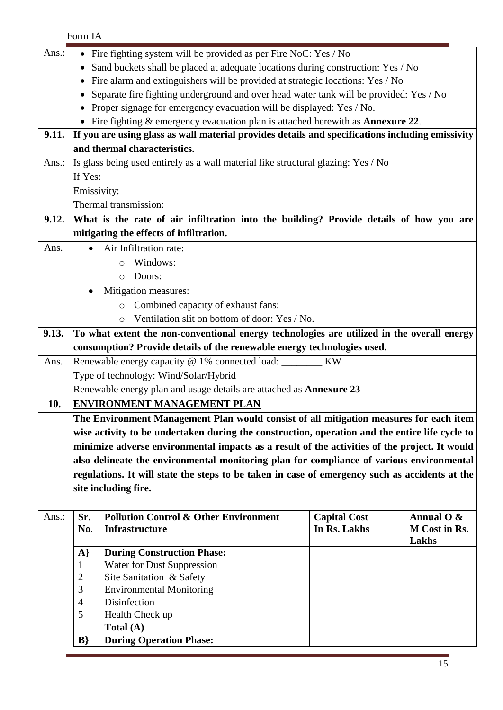Ė

| Ans.: | • Fire fighting system will be provided as per Fire NoC: Yes / No                                                      |                                                                                                  |                     |                         |  |  |
|-------|------------------------------------------------------------------------------------------------------------------------|--------------------------------------------------------------------------------------------------|---------------------|-------------------------|--|--|
|       |                                                                                                                        | Sand buckets shall be placed at adequate locations during construction: Yes / No                 |                     |                         |  |  |
|       |                                                                                                                        | Fire alarm and extinguishers will be provided at strategic locations: Yes / No                   |                     |                         |  |  |
|       |                                                                                                                        | Separate fire fighting underground and over head water tank will be provided: Yes / No           |                     |                         |  |  |
|       |                                                                                                                        | Proper signage for emergency evacuation will be displayed: Yes / No.                             |                     |                         |  |  |
|       |                                                                                                                        | $\bullet$ Fire fighting & emergency evacuation plan is attached herewith as <b>Annexure 22</b> . |                     |                         |  |  |
| 9.11. |                                                                                                                        | If you are using glass as wall material provides details and specifications including emissivity |                     |                         |  |  |
|       |                                                                                                                        | and thermal characteristics.                                                                     |                     |                         |  |  |
| Ans.: |                                                                                                                        | Is glass being used entirely as a wall material like structural glazing: Yes / No                |                     |                         |  |  |
|       | If Yes:                                                                                                                |                                                                                                  |                     |                         |  |  |
|       |                                                                                                                        | Emissivity:                                                                                      |                     |                         |  |  |
|       |                                                                                                                        | Thermal transmission:                                                                            |                     |                         |  |  |
| 9.12. |                                                                                                                        |                                                                                                  |                     |                         |  |  |
|       |                                                                                                                        | What is the rate of air infiltration into the building? Provide details of how you are           |                     |                         |  |  |
|       |                                                                                                                        | mitigating the effects of infiltration.                                                          |                     |                         |  |  |
| Ans.  |                                                                                                                        | Air Infiltration rate:                                                                           |                     |                         |  |  |
|       |                                                                                                                        | Windows:<br>$\circ$                                                                              |                     |                         |  |  |
|       |                                                                                                                        | Doors:<br>$\circ$                                                                                |                     |                         |  |  |
|       |                                                                                                                        | Mitigation measures:                                                                             |                     |                         |  |  |
|       |                                                                                                                        | Combined capacity of exhaust fans:<br>$\circ$                                                    |                     |                         |  |  |
|       |                                                                                                                        | Ventilation slit on bottom of door: Yes / No.<br>$\circ$                                         |                     |                         |  |  |
| 9.13. |                                                                                                                        | To what extent the non-conventional energy technologies are utilized in the overall energy       |                     |                         |  |  |
|       | consumption? Provide details of the renewable energy technologies used.                                                |                                                                                                  |                     |                         |  |  |
| Ans.  | Renewable energy capacity @ 1% connected load: ________ KW                                                             |                                                                                                  |                     |                         |  |  |
|       | Type of technology: Wind/Solar/Hybrid                                                                                  |                                                                                                  |                     |                         |  |  |
|       |                                                                                                                        | Renewable energy plan and usage details are attached as Annexure 23                              |                     |                         |  |  |
| 10.   | ENVIRONMENT MANAGEMENT PLAN                                                                                            |                                                                                                  |                     |                         |  |  |
|       |                                                                                                                        | The Environment Management Plan would consist of all mitigation measures for each item           |                     |                         |  |  |
|       |                                                                                                                        | wise activity to be undertaken during the construction, operation and the entire life cycle to   |                     |                         |  |  |
|       |                                                                                                                        | minimize adverse environmental impacts as a result of the activities of the project. It would    |                     |                         |  |  |
|       |                                                                                                                        | also delineate the environmental monitoring plan for compliance of various environmental         |                     |                         |  |  |
|       |                                                                                                                        |                                                                                                  |                     |                         |  |  |
|       | regulations. It will state the steps to be taken in case of emergency such as accidents at the<br>site including fire. |                                                                                                  |                     |                         |  |  |
|       |                                                                                                                        |                                                                                                  |                     |                         |  |  |
| Ans.: | Sr.                                                                                                                    | <b>Pollution Control &amp; Other Environment</b>                                                 | <b>Capital Cost</b> | Annual $\overline{O}$ & |  |  |
|       | No.                                                                                                                    | <b>Infrastructure</b>                                                                            | In Rs. Lakhs        | M Cost in Rs.           |  |  |
|       |                                                                                                                        |                                                                                                  |                     | Lakhs                   |  |  |
|       | $\mathbf{A}$                                                                                                           | <b>During Construction Phase:</b>                                                                |                     |                         |  |  |
|       | 1                                                                                                                      | Water for Dust Suppression                                                                       |                     |                         |  |  |
|       | $\overline{2}$                                                                                                         | Site Sanitation & Safety                                                                         |                     |                         |  |  |
|       | 3                                                                                                                      | <b>Environmental Monitoring</b>                                                                  |                     |                         |  |  |
|       | 4                                                                                                                      | Disinfection                                                                                     |                     |                         |  |  |
|       | 5                                                                                                                      | Health Check up                                                                                  |                     |                         |  |  |
|       |                                                                                                                        | Total (A)                                                                                        |                     |                         |  |  |
|       | B                                                                                                                      | <b>During Operation Phase:</b>                                                                   |                     |                         |  |  |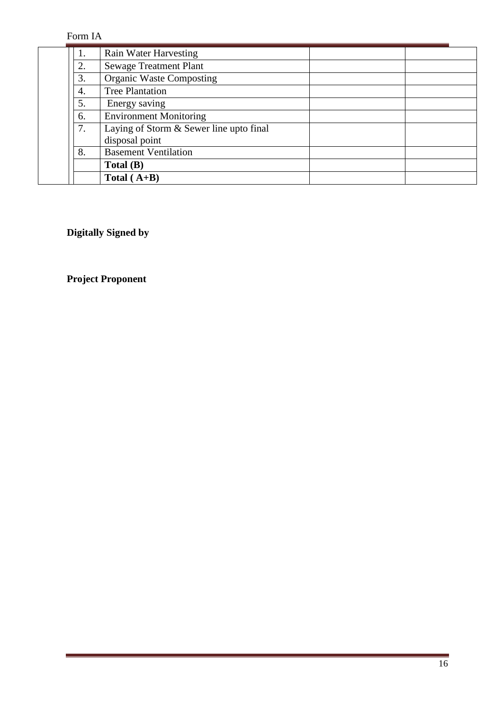|  | 1. | Rain Water Harvesting                   |  |
|--|----|-----------------------------------------|--|
|  | 2. | <b>Sewage Treatment Plant</b>           |  |
|  | 3. | <b>Organic Waste Composting</b>         |  |
|  | 4. | <b>Tree Plantation</b>                  |  |
|  | 5. | Energy saving                           |  |
|  | 6. | <b>Environment Monitoring</b>           |  |
|  | 7. | Laying of Storm & Sewer line upto final |  |
|  |    | disposal point                          |  |
|  | 8. | <b>Basement Ventilation</b>             |  |
|  |    | Total (B)                               |  |
|  |    | Total $(A+B)$                           |  |

**Digitally Signed by**

**Project Proponent**